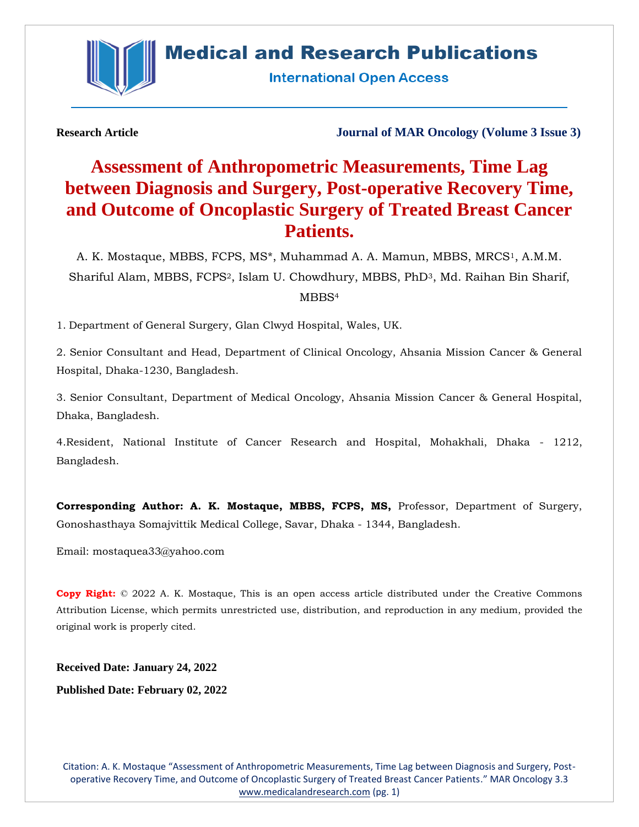



**International Open Access** 

**Research Article Journal of MAR Oncology (Volume 3 Issue 3)**

# **Assessment of Anthropometric Measurements, Time Lag between Diagnosis and Surgery, Post-operative Recovery Time, and Outcome of Oncoplastic Surgery of Treated Breast Cancer Patients.**

A. K. Mostaque, MBBS, FCPS, MS<sup>\*</sup>, Muhammad A. A. Mamun, MBBS, MRCS<sup>1</sup>, A.M.M. Shariful Alam, MBBS, FCPS2, Islam U. Chowdhury, MBBS, PhD3, Md. Raihan Bin Sharif, MBBS<sup>4</sup>

1. Department of General Surgery, Glan Clwyd Hospital, Wales, UK.

2. Senior Consultant and Head, Department of Clinical Oncology, Ahsania Mission Cancer & General Hospital, Dhaka-1230, Bangladesh.

3. Senior Consultant, Department of Medical Oncology, Ahsania Mission Cancer & General Hospital, Dhaka, Bangladesh.

4.Resident, National Institute of Cancer Research and Hospital, Mohakhali, Dhaka - 1212, Bangladesh.

**Corresponding Author: A. K. Mostaque, MBBS, FCPS, MS,** Professor, Department of Surgery, Gonoshasthaya Somajvittik Medical College, Savar, Dhaka - 1344, Bangladesh.

Email: mostaquea33@yahoo.com

**Copy Right:** © 2022 A. K. Mostaque, This is an open access article distributed under the Creative Commons Attribution License, which permits unrestricted use, distribution, and reproduction in any medium, provided the original work is properly cited.

**Received Date: January 24, 2022 Published Date: February 02, 2022**

Citation: A. K. Mostaque "Assessment of Anthropometric Measurements, Time Lag between Diagnosis and Surgery, Postoperative Recovery Time, and Outcome of Oncoplastic Surgery of Treated Breast Cancer Patients." MAR Oncology 3.3 [www.medicalandresearch.com](http://www.medicalandresearch.com/) (pg. 1)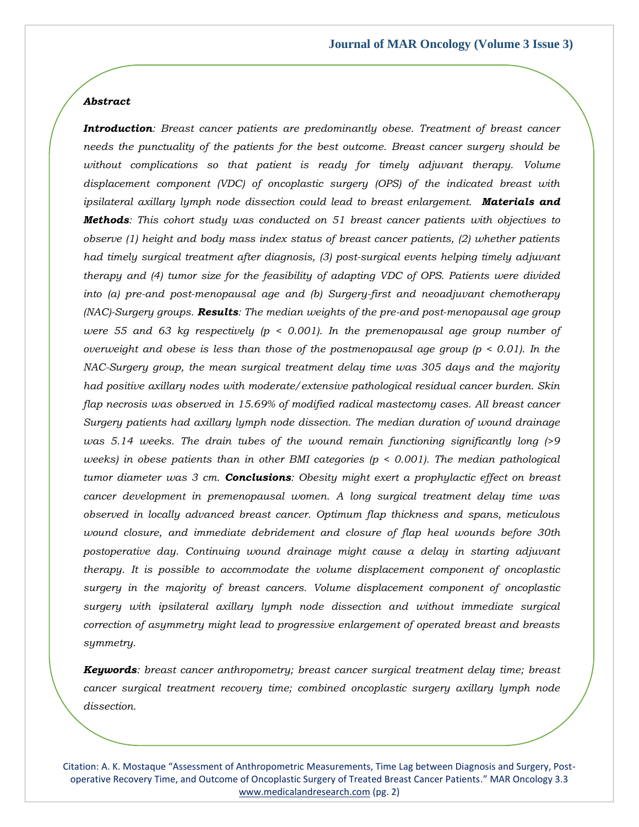### *Abstract*

*Introduction: Breast cancer patients are predominantly obese. Treatment of breast cancer needs the punctuality of the patients for the best outcome. Breast cancer surgery should be without complications so that patient is ready for timely adjuvant therapy. Volume displacement component (VDC) of oncoplastic surgery (OPS) of the indicated breast with ipsilateral axillary lymph node dissection could lead to breast enlargement. Materials and Methods: This cohort study was conducted on 51 breast cancer patients with objectives to observe (1) height and body mass index status of breast cancer patients, (2) whether patients had timely surgical treatment after diagnosis, (3) post-surgical events helping timely adjuvant therapy and (4) tumor size for the feasibility of adapting VDC of OPS. Patients were divided into (a) pre-and post-menopausal age and (b) Surgery-first and neoadjuvant chemotherapy (NAC)-Surgery groups. Results: The median weights of the pre-and post-menopausal age group were 55 and 63 kg respectively (p < 0.001). In the premenopausal age group number of overweight and obese is less than those of the postmenopausal age group (p < 0.01). In the NAC-Surgery group, the mean surgical treatment delay time was 305 days and the majority had positive axillary nodes with moderate/extensive pathological residual cancer burden. Skin flap necrosis was observed in 15.69% of modified radical mastectomy cases. All breast cancer Surgery patients had axillary lymph node dissection. The median duration of wound drainage was 5.14 weeks. The drain tubes of the wound remain functioning significantly long (>9 weeks) in obese patients than in other BMI categories (p < 0.001). The median pathological tumor diameter was 3 cm. Conclusions: Obesity might exert a prophylactic effect on breast cancer development in premenopausal women. A long surgical treatment delay time was observed in locally advanced breast cancer. Optimum flap thickness and spans, meticulous wound closure, and immediate debridement and closure of flap heal wounds before 30th postoperative day. Continuing wound drainage might cause a delay in starting adjuvant therapy. It is possible to accommodate the volume displacement component of oncoplastic surgery in the majority of breast cancers. Volume displacement component of oncoplastic surgery with ipsilateral axillary lymph node dissection and without immediate surgical correction of asymmetry might lead to progressive enlargement of operated breast and breasts symmetry.* 

*Keywords: breast cancer anthropometry; breast cancer surgical treatment delay time; breast cancer surgical treatment recovery time; combined oncoplastic surgery axillary lymph node dissection.* 

Citation: A. K. Mostaque "Assessment of Anthropometric Measurements, Time Lag between Diagnosis and Surgery, Postoperative Recovery Time, and Outcome of Oncoplastic Surgery of Treated Breast Cancer Patients." MAR Oncology 3.3 [www.medicalandresearch.com](http://www.medicalandresearch.com/) (pg. 2)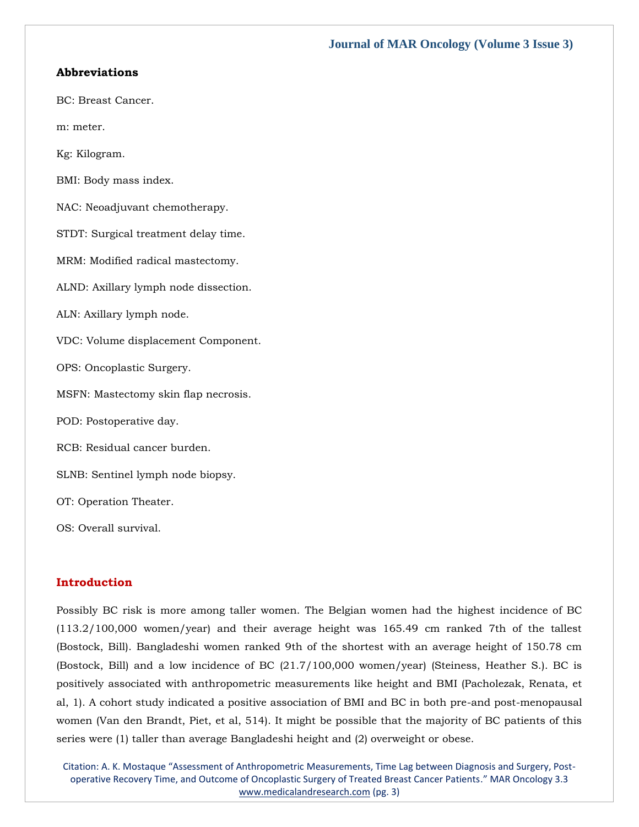# **Abbreviations**

- BC: Breast Cancer.
- m: meter.
- Kg: Kilogram.
- BMI: Body mass index.
- NAC: Neoadjuvant chemotherapy.
- STDT: Surgical treatment delay time.
- MRM: Modified radical mastectomy.
- ALND: Axillary lymph node dissection.
- ALN: Axillary lymph node.
- VDC: Volume displacement Component.
- OPS: Oncoplastic Surgery.
- MSFN: Mastectomy skin flap necrosis.
- POD: Postoperative day.
- RCB: Residual cancer burden.
- SLNB: Sentinel lymph node biopsy.
- OT: Operation Theater.
- OS: Overall survival.

## **Introduction**

Possibly BC risk is more among taller women. The Belgian women had the highest incidence of BC (113.2/100,000 women/year) and their average height was 165.49 cm ranked 7th of the tallest (Bostock, Bill). Bangladeshi women ranked 9th of the shortest with an average height of 150.78 cm (Bostock, Bill) and a low incidence of BC (21.7/100,000 women/year) (Steiness, Heather S.). BC is positively associated with anthropometric measurements like height and BMI (Pacholezak, Renata, et al, 1). A cohort study indicated a positive association of BMI and BC in both pre-and post-menopausal women (Van den Brandt, Piet, et al, 514). It might be possible that the majority of BC patients of this series were (1) taller than average Bangladeshi height and (2) overweight or obese.

Citation: A. K. Mostaque "Assessment of Anthropometric Measurements, Time Lag between Diagnosis and Surgery, Postoperative Recovery Time, and Outcome of Oncoplastic Surgery of Treated Breast Cancer Patients." MAR Oncology 3.3 [www.medicalandresearch.com](http://www.medicalandresearch.com/) (pg. 3)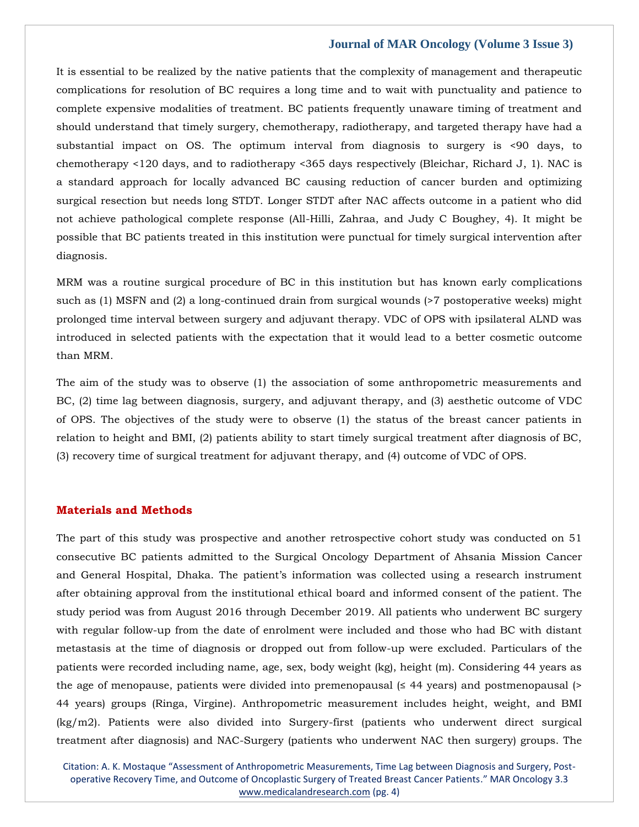It is essential to be realized by the native patients that the complexity of management and therapeutic complications for resolution of BC requires a long time and to wait with punctuality and patience to complete expensive modalities of treatment. BC patients frequently unaware timing of treatment and should understand that timely surgery, chemotherapy, radiotherapy, and targeted therapy have had a substantial impact on OS. The optimum interval from diagnosis to surgery is <90 days, to chemotherapy <120 days, and to radiotherapy <365 days respectively (Bleichar, Richard J, 1). NAC is a standard approach for locally advanced BC causing reduction of cancer burden and optimizing surgical resection but needs long STDT. Longer STDT after NAC affects outcome in a patient who did not achieve pathological complete response (All-Hilli, Zahraa, and Judy C Boughey, 4). It might be possible that BC patients treated in this institution were punctual for timely surgical intervention after diagnosis.

MRM was a routine surgical procedure of BC in this institution but has known early complications such as (1) MSFN and (2) a long-continued drain from surgical wounds (>7 postoperative weeks) might prolonged time interval between surgery and adjuvant therapy. VDC of OPS with ipsilateral ALND was introduced in selected patients with the expectation that it would lead to a better cosmetic outcome than MRM.

The aim of the study was to observe (1) the association of some anthropometric measurements and BC, (2) time lag between diagnosis, surgery, and adjuvant therapy, and (3) aesthetic outcome of VDC of OPS. The objectives of the study were to observe (1) the status of the breast cancer patients in relation to height and BMI, (2) patients ability to start timely surgical treatment after diagnosis of BC, (3) recovery time of surgical treatment for adjuvant therapy, and (4) outcome of VDC of OPS.

# **Materials and Methods**

The part of this study was prospective and another retrospective cohort study was conducted on 51 consecutive BC patients admitted to the Surgical Oncology Department of Ahsania Mission Cancer and General Hospital, Dhaka. The patient's information was collected using a research instrument after obtaining approval from the institutional ethical board and informed consent of the patient. The study period was from August 2016 through December 2019. All patients who underwent BC surgery with regular follow-up from the date of enrolment were included and those who had BC with distant metastasis at the time of diagnosis or dropped out from follow-up were excluded. Particulars of the patients were recorded including name, age, sex, body weight (kg), height (m). Considering 44 years as the age of menopause, patients were divided into premenopausal  $(≤ 44 \text{ years})$  and postmenopausal  $(>$ 44 years) groups (Ringa, Virgine). Anthropometric measurement includes height, weight, and BMI (kg/m2). Patients were also divided into Surgery-first (patients who underwent direct surgical treatment after diagnosis) and NAC-Surgery (patients who underwent NAC then surgery) groups. The

Citation: A. K. Mostaque "Assessment of Anthropometric Measurements, Time Lag between Diagnosis and Surgery, Postoperative Recovery Time, and Outcome of Oncoplastic Surgery of Treated Breast Cancer Patients." MAR Oncology 3.3 [www.medicalandresearch.com](http://www.medicalandresearch.com/) (pg. 4)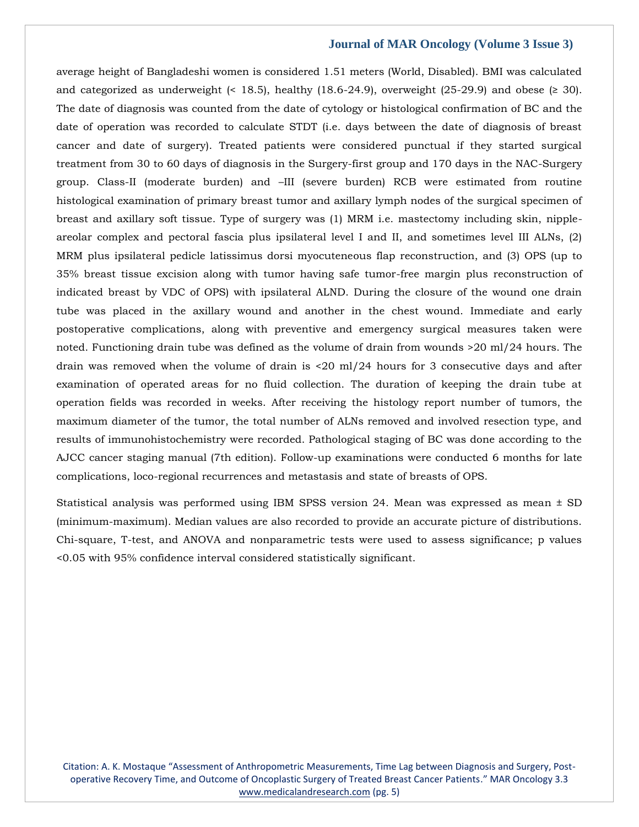average height of Bangladeshi women is considered 1.51 meters (World, Disabled). BMI was calculated and categorized as underweight  $(18.5)$ , healthy  $(18.6-24.9)$ , overweight  $(25-29.9)$  and obese  $(2.30)$ . The date of diagnosis was counted from the date of cytology or histological confirmation of BC and the date of operation was recorded to calculate STDT (i.e. days between the date of diagnosis of breast cancer and date of surgery). Treated patients were considered punctual if they started surgical treatment from 30 to 60 days of diagnosis in the Surgery-first group and 170 days in the NAC-Surgery group. Class-II (moderate burden) and –III (severe burden) RCB were estimated from routine histological examination of primary breast tumor and axillary lymph nodes of the surgical specimen of breast and axillary soft tissue. Type of surgery was (1) MRM i.e. mastectomy including skin, nippleareolar complex and pectoral fascia plus ipsilateral level I and II, and sometimes level III ALNs, (2) MRM plus ipsilateral pedicle latissimus dorsi myocuteneous flap reconstruction, and (3) OPS (up to 35% breast tissue excision along with tumor having safe tumor-free margin plus reconstruction of indicated breast by VDC of OPS) with ipsilateral ALND. During the closure of the wound one drain tube was placed in the axillary wound and another in the chest wound. Immediate and early postoperative complications, along with preventive and emergency surgical measures taken were noted. Functioning drain tube was defined as the volume of drain from wounds >20 ml/24 hours. The drain was removed when the volume of drain is <20 ml/24 hours for 3 consecutive days and after examination of operated areas for no fluid collection. The duration of keeping the drain tube at operation fields was recorded in weeks. After receiving the histology report number of tumors, the maximum diameter of the tumor, the total number of ALNs removed and involved resection type, and results of immunohistochemistry were recorded. Pathological staging of BC was done according to the AJCC cancer staging manual (7th edition). Follow-up examinations were conducted 6 months for late complications, loco-regional recurrences and metastasis and state of breasts of OPS.

Statistical analysis was performed using IBM SPSS version 24. Mean was expressed as mean ± SD (minimum-maximum). Median values are also recorded to provide an accurate picture of distributions. Chi-square, T-test, and ANOVA and nonparametric tests were used to assess significance; p values <0.05 with 95% confidence interval considered statistically significant.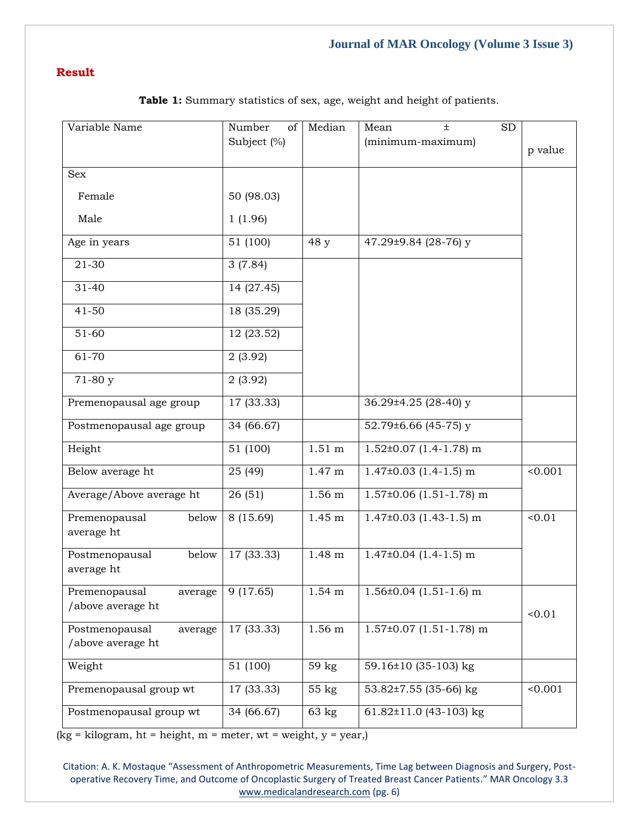# **Result**

| Variable Name                                  | Number<br>of | Median            | Mean<br><b>SD</b>            |         |
|------------------------------------------------|--------------|-------------------|------------------------------|---------|
|                                                | Subject (%)  |                   | (minimum-maximum)            | p value |
|                                                |              |                   |                              |         |
| <b>Sex</b>                                     |              |                   |                              |         |
| Female                                         | 50 (98.03)   |                   |                              |         |
| Male                                           | 1(1.96)      |                   |                              |         |
| Age in years                                   | 51 (100)     | 48 y              | 47.29±9.84 (28-76) y         |         |
| 21-30                                          | 3(7.84)      |                   |                              |         |
| 31-40                                          | 14 (27.45)   |                   |                              |         |
| $41 - 50$                                      | 18 (35.29)   |                   |                              |         |
| 51-60                                          | 12 (23.52)   |                   |                              |         |
| 61-70                                          | 2(3.92)      |                   |                              |         |
| 71-80 y                                        | 2(3.92)      |                   |                              |         |
| Premenopausal age group                        | 17 (33.33)   |                   | 36.29±4.25 (28-40) y         |         |
| Postmenopausal age group                       | 34 (66.67)   |                   | 52.79±6.66 (45-75) y         |         |
| Height                                         | 51 (100)     | $1.51 \text{ m}$  | $1.52\pm0.07$ (1.4-1.78) m   |         |
| Below average ht                               | 25 (49)      | 1.47 <sub>m</sub> | $1.47\pm0.03$ (1.4-1.5) m    | < 0.001 |
| Average/Above average ht                       | 26(51)       | 1.56 <sub>m</sub> | $1.57\pm0.06$ (1.51-1.78) m  |         |
| Premenopausal<br>below<br>average ht           | 8 (15.69)    | 1.45 m            | $1.47\pm0.03$ (1.43-1.5) m   | < 0.01  |
| Postmenopausal<br>below<br>average ht          | 17 (33.33)   | 1.48 <sub>m</sub> | $1.47\pm0.04$ (1.4-1.5) m    |         |
| Premenopausal<br>average<br>/above average ht  | 9(17.65)     | $1.54 \text{ m}$  | $1.56 \pm 0.04$ (1.51-1.6) m | 0.01    |
| Postmenopausal<br>average<br>/above average ht | 17 (33.33)   | 1.56 <sub>m</sub> | $1.57\pm0.07$ (1.51-1.78) m  |         |
| Weight                                         | 51 (100)     | 59 kg             | 59.16 $\pm$ 10 (35-103) kg   |         |
| Premenopausal group wt                         | 17 (33.33)   | 55 kg             | 53.82±7.55 (35-66) kg        | < 0.001 |
| Postmenopausal group wt                        | 34 (66.67)   | 63 kg             | 61.82 $\pm$ 11.0 (43-103) kg |         |

**Table 1:** Summary statistics of sex, age, weight and height of patients.

 $(kg = kilogram, ht = height, m = meter, wt = weight, y = year)$ 

Citation: A. K. Mostaque "Assessment of Anthropometric Measurements, Time Lag between Diagnosis and Surgery, Postoperative Recovery Time, and Outcome of Oncoplastic Surgery of Treated Breast Cancer Patients." MAR Oncology 3.3 [www.medicalandresearch.com](http://www.medicalandresearch.com/) (pg. 6)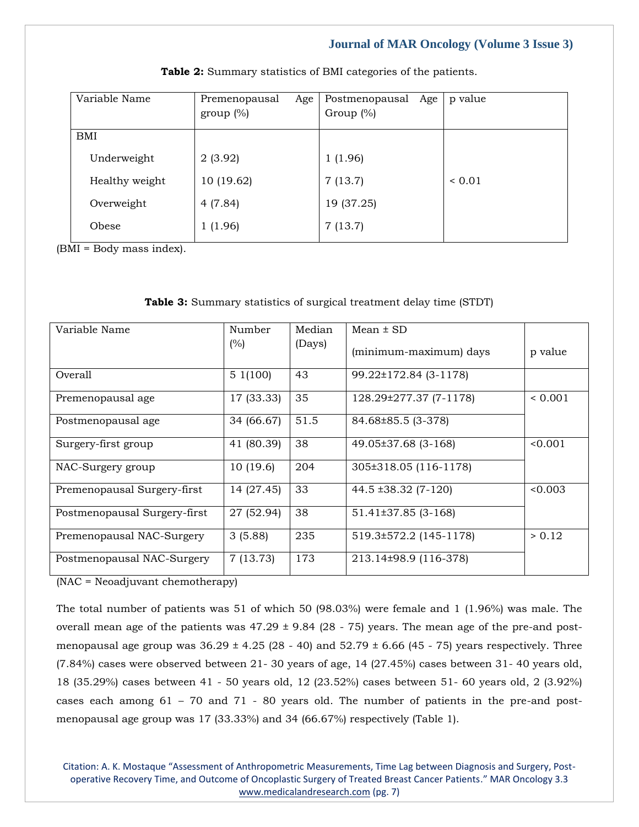| Variable Name  | Premenopausal<br>Age<br>group $(\%)$ | Postmenopausal Age<br>Group $(\%)$ | p value     |
|----------------|--------------------------------------|------------------------------------|-------------|
| <b>BMI</b>     |                                      |                                    |             |
| Underweight    | 2(3.92)                              | 1(1.96)                            |             |
| Healthy weight | 10(19.62)                            | 7(13.7)                            | ${}_{0.01}$ |
| Overweight     | 4(7.84)                              | 19 (37.25)                         |             |
| Obese          | 1(1.96)                              | 7(13.7)                            |             |

**Table 2:** Summary statistics of BMI categories of the patients.

(BMI = Body mass index).

## **Table 3:** Summary statistics of surgical treatment delay time (STDT)

| Variable Name                | Number     | Median | Mean $\pm$ SD            |             |
|------------------------------|------------|--------|--------------------------|-------------|
|                              | (%)        | (Days) | (minimum-maximum) days   | p value     |
| Overall                      | 51(100)    | 43     | 99.22±172.84 (3-1178)    |             |
| Premenopausal age            | 17 (33.33) | 35     | 128.29±277.37 (7-1178)   | ${}< 0.001$ |
| Postmenopausal age           | 34 (66.67) | 51.5   | 84.68±85.5 (3-378)       |             |
| Surgery-first group          | 41 (80.39) | 38     | 49.05±37.68 (3-168)      | < 0.001     |
| NAC-Surgery group            | 10(19.6)   | 204    | 305±318.05 (116-1178)    |             |
| Premenopausal Surgery-first  | 14 (27.45) | 33     | $44.5 \pm 38.32 (7-120)$ | &0.003      |
| Postmenopausal Surgery-first | 27 (52.94) | 38     | $51.41\pm37.85(3-168)$   |             |
| Premenopausal NAC-Surgery    | 3(5.88)    | 235    | 519.3±572.2 (145-1178)   | > 0.12      |
| Postmenopausal NAC-Surgery   | 7(13.73)   | 173    | 213.14±98.9 (116-378)    |             |

(NAC = Neoadjuvant chemotherapy)

The total number of patients was 51 of which 50 (98.03%) were female and 1 (1.96%) was male. The overall mean age of the patients was  $47.29 \pm 9.84$  (28 - 75) years. The mean age of the pre-and postmenopausal age group was  $36.29 \pm 4.25$  (28 - 40) and  $52.79 \pm 6.66$  (45 - 75) years respectively. Three (7.84%) cases were observed between 21- 30 years of age, 14 (27.45%) cases between 31- 40 years old, 18 (35.29%) cases between 41 - 50 years old, 12 (23.52%) cases between 51- 60 years old, 2 (3.92%) cases each among 61 – 70 and 71 - 80 years old. The number of patients in the pre-and postmenopausal age group was 17 (33.33%) and 34 (66.67%) respectively (Table 1).

Citation: A. K. Mostaque "Assessment of Anthropometric Measurements, Time Lag between Diagnosis and Surgery, Postoperative Recovery Time, and Outcome of Oncoplastic Surgery of Treated Breast Cancer Patients." MAR Oncology 3.3 [www.medicalandresearch.com](http://www.medicalandresearch.com/) (pg. 7)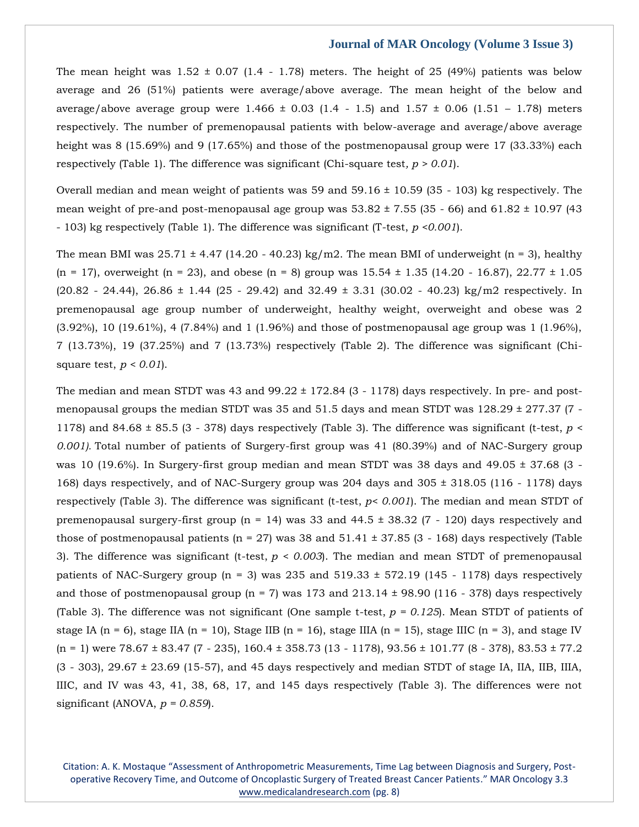The mean height was  $1.52 \pm 0.07$  (1.4 - 1.78) meters. The height of 25 (49%) patients was below average and 26 (51%) patients were average/above average. The mean height of the below and average/above average group were  $1.466 \pm 0.03$  (1.4 - 1.5) and 1.57  $\pm$  0.06 (1.51 - 1.78) meters respectively. The number of premenopausal patients with below-average and average/above average height was 8 (15.69%) and 9 (17.65%) and those of the postmenopausal group were 17 (33.33%) each respectively (Table 1). The difference was significant (Chi-square test*, p > 0.01*).

Overall median and mean weight of patients was 59 and  $59.16 \pm 10.59$  (35 - 103) kg respectively. The mean weight of pre-and post-menopausal age group was  $53.82 \pm 7.55$  (35 - 66) and  $61.82 \pm 10.97$  (43) - 103) kg respectively (Table 1). The difference was significant (T-test, *p <0.001*).

The mean BMI was  $25.71 \pm 4.47$  (14.20 - 40.23) kg/m2. The mean BMI of underweight (n = 3), healthy  $(n = 17)$ , overweight  $(n = 23)$ , and obese  $(n = 8)$  group was  $15.54 \pm 1.35$  (14.20 - 16.87), 22.77  $\pm 1.05$  $(20.82 - 24.44)$ ,  $26.86 \pm 1.44$   $(25 - 29.42)$  and  $32.49 \pm 3.31$   $(30.02 - 40.23)$  kg/m2 respectively. In premenopausal age group number of underweight, healthy weight, overweight and obese was 2 (3.92%), 10 (19.61%), 4 (7.84%) and 1 (1.96%) and those of postmenopausal age group was 1 (1.96%), 7 (13.73%), 19 (37.25%) and 7 (13.73%) respectively (Table 2). The difference was significant (Chisquare test, *p < 0.01*).

The median and mean STDT was 43 and  $99.22 \pm 172.84$  (3 - 1178) days respectively. In pre- and postmenopausal groups the median STDT was 35 and 51.5 days and mean STDT was  $128.29 \pm 277.37$  (7 -1178) and 84.68 ± 85.5 (3 - 378) days respectively (Table 3). The difference was significant (t-test, *p < 0.001).* Total number of patients of Surgery-first group was 41 (80.39%) and of NAC-Surgery group was 10 (19.6%). In Surgery-first group median and mean STDT was 38 days and 49.05 ± 37.68 (3 - 168) days respectively, and of NAC-Surgery group was 204 days and 305 ± 318.05 (116 - 1178) days respectively (Table 3). The difference was significant (t-test, *p< 0.001*). The median and mean STDT of premenopausal surgery-first group ( $n = 14$ ) was 33 and 44.5  $\pm$  38.32 (7 - 120) days respectively and those of postmenopausal patients ( $n = 27$ ) was 38 and  $51.41 \pm 37.85$  (3 - 168) days respectively (Table 3). The difference was significant (t-test, *p < 0.003*). The median and mean STDT of premenopausal patients of NAC-Surgery group ( $n = 3$ ) was 235 and 519.33  $\pm$  572.19 (145 - 1178) days respectively and those of postmenopausal group ( $n = 7$ ) was 173 and 213.14  $\pm$  98.90 (116 - 378) days respectively (Table 3). The difference was not significant (One sample t-test, *p = 0.125*). Mean STDT of patients of stage IA (n = 6), stage IIA (n = 10), Stage IIB (n = 16), stage IIIA (n = 15), stage IIIC (n = 3), and stage IV  $(n = 1)$  were  $78.67 \pm 83.47$  (7 - 235), 160.4  $\pm$  358.73 (13 - 1178), 93.56  $\pm$  101.77 (8 - 378), 83.53  $\pm$  77.2 (3 - 303), 29.67 ± 23.69 (15-57), and 45 days respectively and median STDT of stage IA, IIA, IIB, IIIA, IIIC, and IV was 43, 41, 38, 68, 17, and 145 days respectively (Table 3). The differences were not significant (ANOVA, *p = 0.859*).

Citation: A. K. Mostaque "Assessment of Anthropometric Measurements, Time Lag between Diagnosis and Surgery, Postoperative Recovery Time, and Outcome of Oncoplastic Surgery of Treated Breast Cancer Patients." MAR Oncology 3.3 [www.medicalandresearch.com](http://www.medicalandresearch.com/) (pg. 8)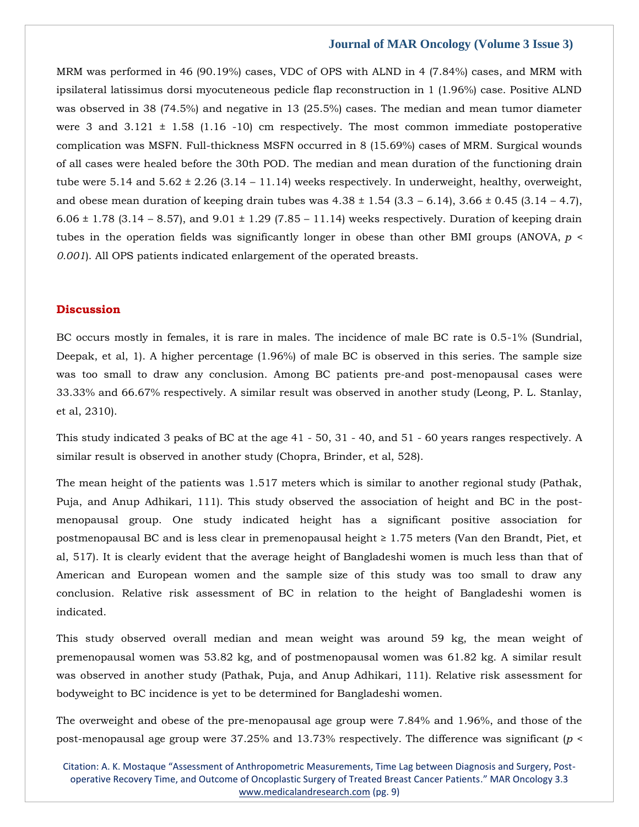MRM was performed in 46 (90.19%) cases, VDC of OPS with ALND in 4 (7.84%) cases, and MRM with ipsilateral latissimus dorsi myocuteneous pedicle flap reconstruction in 1 (1.96%) case. Positive ALND was observed in 38 (74.5%) and negative in 13 (25.5%) cases. The median and mean tumor diameter were 3 and  $3.121 \pm 1.58$  (1.16 -10) cm respectively. The most common immediate postoperative complication was MSFN. Full-thickness MSFN occurred in 8 (15.69%) cases of MRM. Surgical wounds of all cases were healed before the 30th POD. The median and mean duration of the functioning drain tube were 5.14 and  $5.62 \pm 2.26$  (3.14 – 11.14) weeks respectively. In underweight, healthy, overweight, and obese mean duration of keeping drain tubes was  $4.38 \pm 1.54$  ( $3.3 - 6.14$ ),  $3.66 \pm 0.45$  ( $3.14 - 4.7$ ), 6.06  $\pm$  1.78 (3.14 – 8.57), and 9.01  $\pm$  1.29 (7.85 – 11.14) weeks respectively. Duration of keeping drain tubes in the operation fields was significantly longer in obese than other BMI groups (ANOVA, *p < 0.001*). All OPS patients indicated enlargement of the operated breasts.

## **Discussion**

BC occurs mostly in females, it is rare in males. The incidence of male BC rate is 0.5-1% (Sundrial, Deepak, et al, 1). A higher percentage (1.96%) of male BC is observed in this series. The sample size was too small to draw any conclusion. Among BC patients pre-and post-menopausal cases were 33.33% and 66.67% respectively. A similar result was observed in another study (Leong, P. L. Stanlay, et al, 2310).

This study indicated 3 peaks of BC at the age 41 - 50, 31 - 40, and 51 - 60 years ranges respectively. A similar result is observed in another study (Chopra, Brinder, et al, 528).

The mean height of the patients was 1.517 meters which is similar to another regional study (Pathak, Puja, and Anup Adhikari, 111). This study observed the association of height and BC in the postmenopausal group. One study indicated height has a significant positive association for postmenopausal BC and is less clear in premenopausal height ≥ 1.75 meters (Van den Brandt, Piet, et al, 517). It is clearly evident that the average height of Bangladeshi women is much less than that of American and European women and the sample size of this study was too small to draw any conclusion. Relative risk assessment of BC in relation to the height of Bangladeshi women is indicated.

This study observed overall median and mean weight was around 59 kg, the mean weight of premenopausal women was 53.82 kg, and of postmenopausal women was 61.82 kg. A similar result was observed in another study (Pathak, Puja, and Anup Adhikari, 111). Relative risk assessment for bodyweight to BC incidence is yet to be determined for Bangladeshi women.

The overweight and obese of the pre-menopausal age group were 7.84% and 1.96%, and those of the post-menopausal age group were 37.25% and 13.73% respectively. The difference was significant (*p <* 

Citation: A. K. Mostaque "Assessment of Anthropometric Measurements, Time Lag between Diagnosis and Surgery, Postoperative Recovery Time, and Outcome of Oncoplastic Surgery of Treated Breast Cancer Patients." MAR Oncology 3.3 [www.medicalandresearch.com](http://www.medicalandresearch.com/) (pg. 9)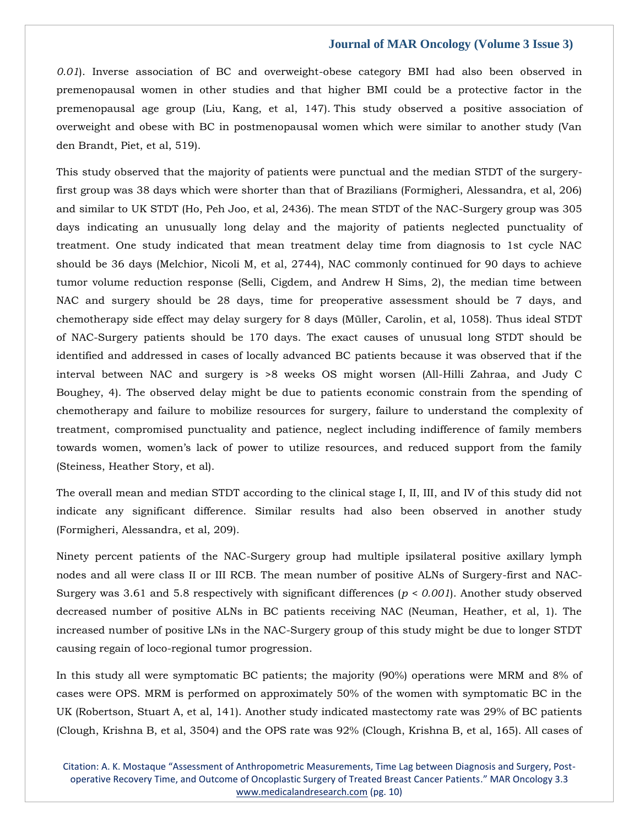*0.01*). Inverse association of BC and overweight-obese category BMI had also been observed in premenopausal women in other studies and that higher BMI could be a protective factor in the premenopausal age group (Liu, Kang, et al, 147). This study observed a positive association of overweight and obese with BC in postmenopausal women which were similar to another study (Van den Brandt, Piet, et al, 519).

This study observed that the majority of patients were punctual and the median STDT of the surgeryfirst group was 38 days which were shorter than that of Brazilians (Formigheri, Alessandra, et al, 206) and similar to UK STDT (Ho, Peh Joo, et al, 2436). The mean STDT of the NAC-Surgery group was 305 days indicating an unusually long delay and the majority of patients neglected punctuality of treatment. One study indicated that mean treatment delay time from diagnosis to 1st cycle NAC should be 36 days (Melchior, Nicoli M, et al, 2744), NAC commonly continued for 90 days to achieve tumor volume reduction response (Selli, Cigdem, and Andrew H Sims, 2), the median time between NAC and surgery should be 28 days, time for preoperative assessment should be 7 days, and chemotherapy side effect may delay surgery for 8 days (Müller, Carolin, et al, 1058). Thus ideal STDT of NAC-Surgery patients should be 170 days. The exact causes of unusual long STDT should be identified and addressed in cases of locally advanced BC patients because it was observed that if the interval between NAC and surgery is >8 weeks OS might worsen (All-Hilli Zahraa, and Judy C Boughey, 4). The observed delay might be due to patients economic constrain from the spending of chemotherapy and failure to mobilize resources for surgery, failure to understand the complexity of treatment, compromised punctuality and patience, neglect including indifference of family members towards women, women's lack of power to utilize resources, and reduced support from the family (Steiness, Heather Story, et al).

The overall mean and median STDT according to the clinical stage I, II, III, and IV of this study did not indicate any significant difference. Similar results had also been observed in another study (Formigheri, Alessandra, et al, 209).

Ninety percent patients of the NAC-Surgery group had multiple ipsilateral positive axillary lymph nodes and all were class II or III RCB. The mean number of positive ALNs of Surgery-first and NAC-Surgery was 3.61 and 5.8 respectively with significant differences (*p < 0.001*). Another study observed decreased number of positive ALNs in BC patients receiving NAC (Neuman, Heather, et al, 1). The increased number of positive LNs in the NAC-Surgery group of this study might be due to longer STDT causing regain of loco-regional tumor progression.

In this study all were symptomatic BC patients; the majority (90%) operations were MRM and 8% of cases were OPS. MRM is performed on approximately 50% of the women with symptomatic BC in the UK (Robertson, Stuart A, et al, 141). Another study indicated mastectomy rate was 29% of BC patients (Clough, Krishna B, et al, 3504) and the OPS rate was 92% (Clough, Krishna B, et al, 165). All cases of

Citation: A. K. Mostaque "Assessment of Anthropometric Measurements, Time Lag between Diagnosis and Surgery, Postoperative Recovery Time, and Outcome of Oncoplastic Surgery of Treated Breast Cancer Patients." MAR Oncology 3.3 [www.medicalandresearch.com](http://www.medicalandresearch.com/) (pg. 10)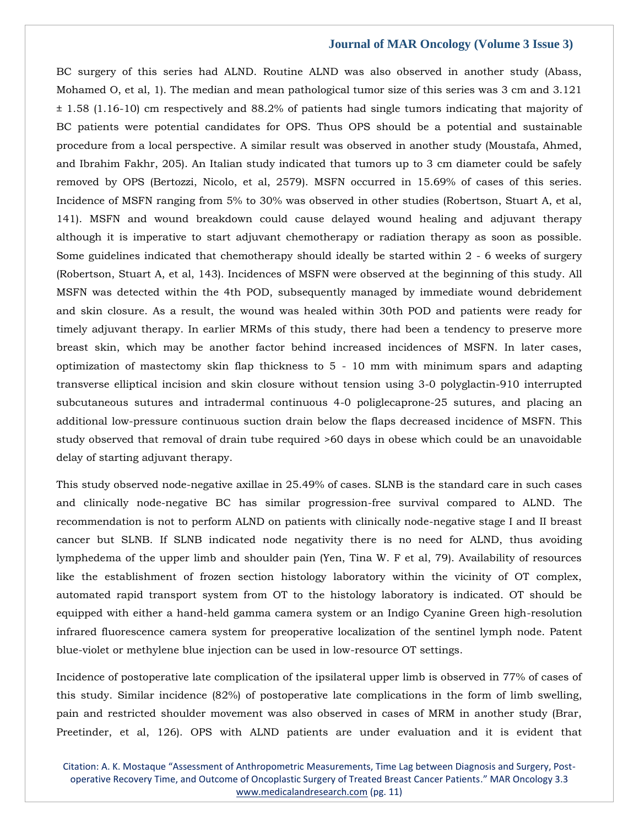BC surgery of this series had ALND. Routine ALND was also observed in another study (Abass, Mohamed O, et al, 1). The median and mean pathological tumor size of this series was 3 cm and 3.121 ± 1.58 (1.16-10) cm respectively and 88.2% of patients had single tumors indicating that majority of BC patients were potential candidates for OPS. Thus OPS should be a potential and sustainable procedure from a local perspective. A similar result was observed in another study (Moustafa, Ahmed, and Ibrahim Fakhr, 205). An Italian study indicated that tumors up to 3 cm diameter could be safely removed by OPS (Bertozzi, Nicolo, et al, 2579). MSFN occurred in 15.69% of cases of this series. Incidence of MSFN ranging from 5% to 30% was observed in other studies (Robertson, Stuart A, et al, 141). MSFN and wound breakdown could cause delayed wound healing and adjuvant therapy although it is imperative to start adjuvant chemotherapy or radiation therapy as soon as possible. Some guidelines indicated that chemotherapy should ideally be started within 2 - 6 weeks of surgery (Robertson, Stuart A, et al, 143). Incidences of MSFN were observed at the beginning of this study. All MSFN was detected within the 4th POD, subsequently managed by immediate wound debridement and skin closure. As a result, the wound was healed within 30th POD and patients were ready for timely adjuvant therapy. In earlier MRMs of this study, there had been a tendency to preserve more breast skin, which may be another factor behind increased incidences of MSFN. In later cases, optimization of mastectomy skin flap thickness to 5 - 10 mm with minimum spars and adapting transverse elliptical incision and skin closure without tension using 3-0 polyglactin-910 interrupted subcutaneous sutures and intradermal continuous 4-0 poliglecaprone-25 sutures, and placing an additional low-pressure continuous suction drain below the flaps decreased incidence of MSFN. This study observed that removal of drain tube required >60 days in obese which could be an unavoidable delay of starting adjuvant therapy.

This study observed node-negative axillae in 25.49% of cases. SLNB is the standard care in such cases and clinically node-negative BC has similar progression-free survival compared to ALND. The recommendation is not to perform ALND on patients with clinically node-negative stage I and II breast cancer but SLNB. If SLNB indicated node negativity there is no need for ALND, thus avoiding lymphedema of the upper limb and shoulder pain (Yen, Tina W. F et al, 79). Availability of resources like the establishment of frozen section histology laboratory within the vicinity of OT complex, automated rapid transport system from OT to the histology laboratory is indicated. OT should be equipped with either a hand-held gamma camera system or an Indigo Cyanine Green high-resolution infrared fluorescence camera system for preoperative localization of the sentinel lymph node. Patent blue-violet or methylene blue injection can be used in low-resource OT settings.

Incidence of postoperative late complication of the ipsilateral upper limb is observed in 77% of cases of this study. Similar incidence (82%) of postoperative late complications in the form of limb swelling, pain and restricted shoulder movement was also observed in cases of MRM in another study (Brar, Preetinder, et al, 126). OPS with ALND patients are under evaluation and it is evident that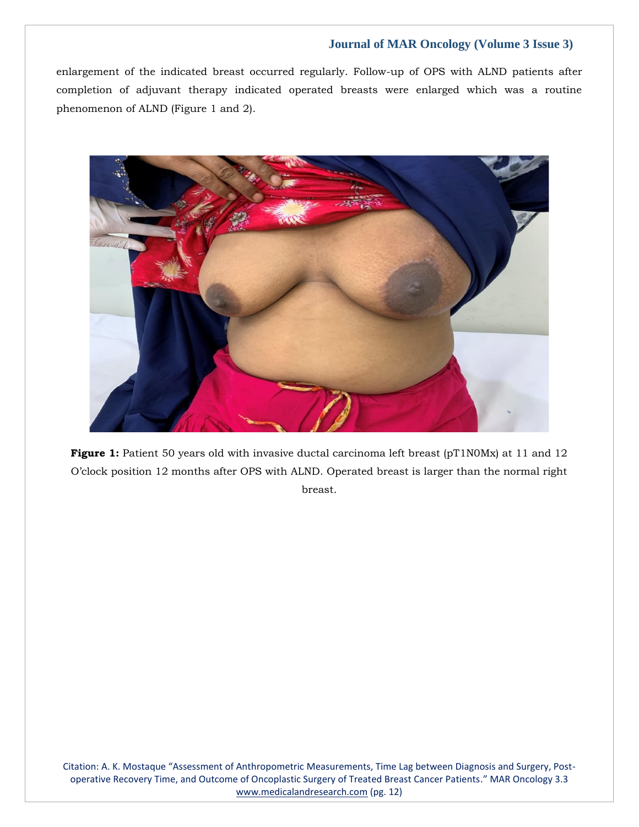enlargement of the indicated breast occurred regularly. Follow-up of OPS with ALND patients after completion of adjuvant therapy indicated operated breasts were enlarged which was a routine phenomenon of ALND (Figure 1 and 2).



**Figure 1:** Patient 50 years old with invasive ductal carcinoma left breast (pT1N0Mx) at 11 and 12 O'clock position 12 months after OPS with ALND. Operated breast is larger than the normal right breast.

Citation: A. K. Mostaque "Assessment of Anthropometric Measurements, Time Lag between Diagnosis and Surgery, Postoperative Recovery Time, and Outcome of Oncoplastic Surgery of Treated Breast Cancer Patients." MAR Oncology 3.3 [www.medicalandresearch.com](http://www.medicalandresearch.com/) (pg. 12)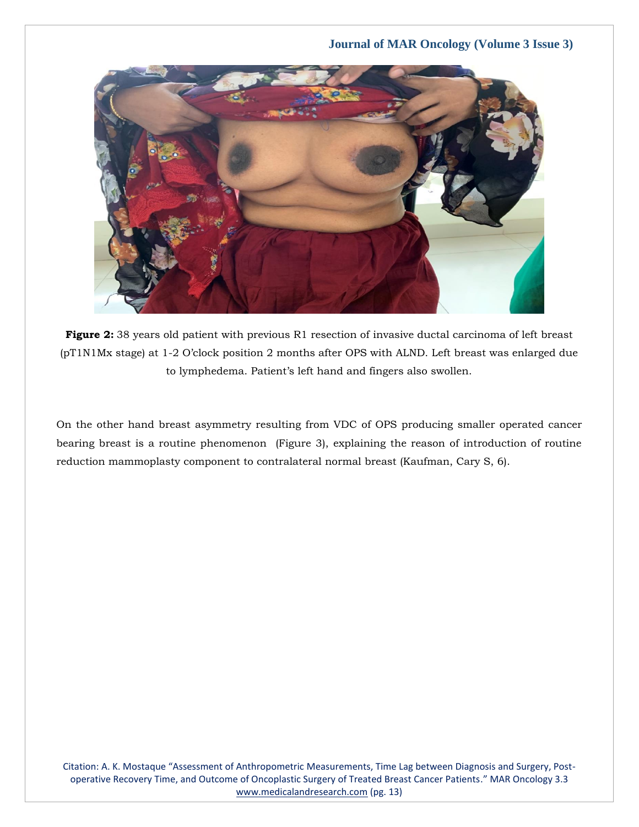

**Figure 2:** 38 years old patient with previous R1 resection of invasive ductal carcinoma of left breast (pT1N1Mx stage) at 1-2 O'clock position 2 months after OPS with ALND. Left breast was enlarged due to lymphedema. Patient's left hand and fingers also swollen.

On the other hand breast asymmetry resulting from VDC of OPS producing smaller operated cancer bearing breast is a routine phenomenon (Figure 3), explaining the reason of introduction of routine reduction mammoplasty component to contralateral normal breast (Kaufman, Cary S, 6).

Citation: A. K. Mostaque "Assessment of Anthropometric Measurements, Time Lag between Diagnosis and Surgery, Postoperative Recovery Time, and Outcome of Oncoplastic Surgery of Treated Breast Cancer Patients." MAR Oncology 3.3 [www.medicalandresearch.com](http://www.medicalandresearch.com/) (pg. 13)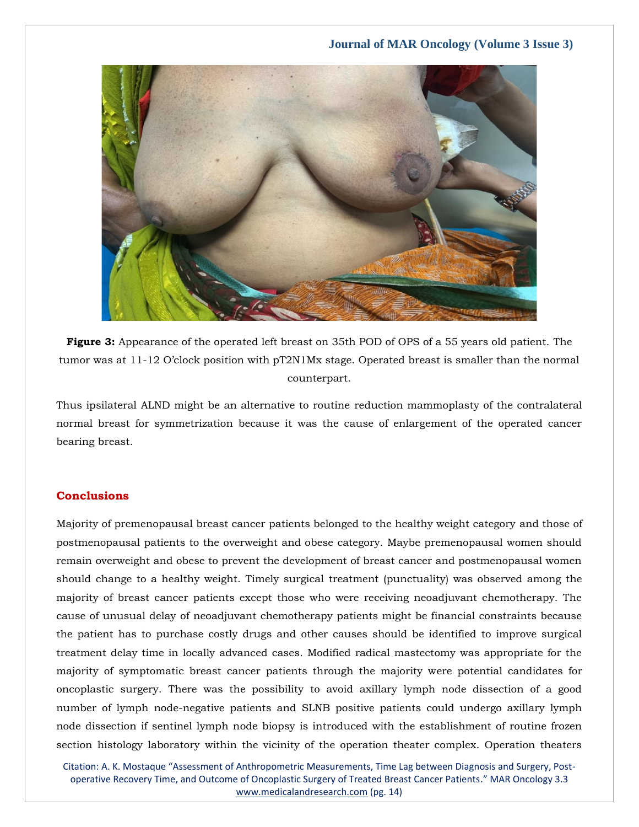

**Figure 3:** Appearance of the operated left breast on 35th POD of OPS of a 55 years old patient. The tumor was at 11-12 O'clock position with pT2N1Mx stage. Operated breast is smaller than the normal counterpart.

Thus ipsilateral ALND might be an alternative to routine reduction mammoplasty of the contralateral normal breast for symmetrization because it was the cause of enlargement of the operated cancer bearing breast.

## **Conclusions**

Majority of premenopausal breast cancer patients belonged to the healthy weight category and those of postmenopausal patients to the overweight and obese category. Maybe premenopausal women should remain overweight and obese to prevent the development of breast cancer and postmenopausal women should change to a healthy weight. Timely surgical treatment (punctuality) was observed among the majority of breast cancer patients except those who were receiving neoadjuvant chemotherapy. The cause of unusual delay of neoadjuvant chemotherapy patients might be financial constraints because the patient has to purchase costly drugs and other causes should be identified to improve surgical treatment delay time in locally advanced cases. Modified radical mastectomy was appropriate for the majority of symptomatic breast cancer patients through the majority were potential candidates for oncoplastic surgery. There was the possibility to avoid axillary lymph node dissection of a good number of lymph node-negative patients and SLNB positive patients could undergo axillary lymph node dissection if sentinel lymph node biopsy is introduced with the establishment of routine frozen section histology laboratory within the vicinity of the operation theater complex. Operation theaters

Citation: A. K. Mostaque "Assessment of Anthropometric Measurements, Time Lag between Diagnosis and Surgery, Postoperative Recovery Time, and Outcome of Oncoplastic Surgery of Treated Breast Cancer Patients." MAR Oncology 3.3 [www.medicalandresearch.com](http://www.medicalandresearch.com/) (pg. 14)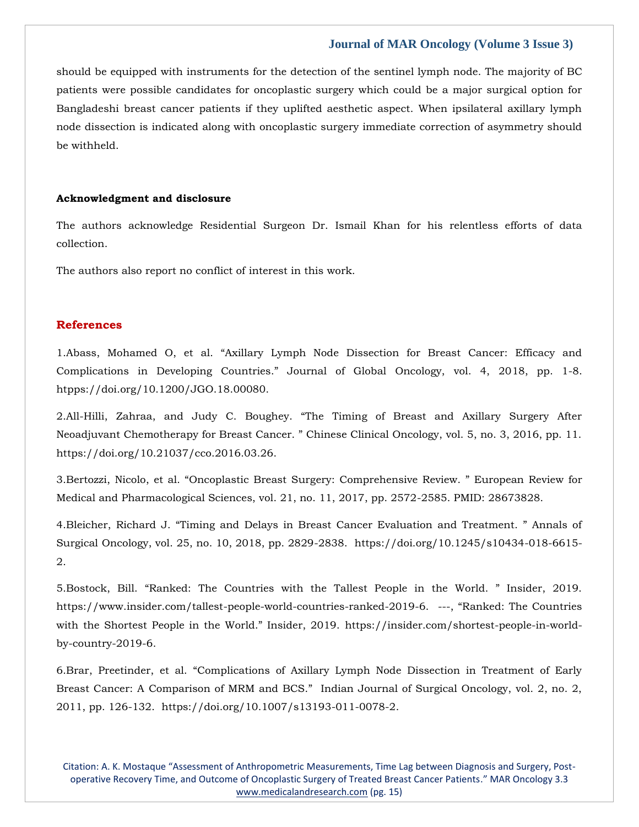should be equipped with instruments for the detection of the sentinel lymph node. The majority of BC patients were possible candidates for oncoplastic surgery which could be a major surgical option for Bangladeshi breast cancer patients if they uplifted aesthetic aspect. When ipsilateral axillary lymph node dissection is indicated along with oncoplastic surgery immediate correction of asymmetry should be withheld.

#### **Acknowledgment and disclosure**

The authors acknowledge Residential Surgeon Dr. Ismail Khan for his relentless efforts of data collection.

The authors also report no conflict of interest in this work.

## **References**

1.[Abass, Mohamed O, et al. "Axillary Lymph Node Dissection for Breast Cancer: Efficacy and](https://www.google.com/search?q=Axillary+Lymph+Node+Dissection+for+Breast+Cancer%3A+Efficacy+and+Complications+in+Developing+Countries&oq=Axillary+Lymph+Node+Dissection+for+Breast+Cancer%3A+Efficacy+and+Complications+in+Developing+Countries&aqs=chrome..69i57.396j0j7&sourceid=chrome&ie=UTF-8)  [Complications in Developing Countries." Journal of Global Oncology, vol. 4, 20](https://www.google.com/search?q=Axillary+Lymph+Node+Dissection+for+Breast+Cancer%3A+Efficacy+and+Complications+in+Developing+Countries&oq=Axillary+Lymph+Node+Dissection+for+Breast+Cancer%3A+Efficacy+and+Complications+in+Developing+Countries&aqs=chrome..69i57.396j0j7&sourceid=chrome&ie=UTF-8)18, pp. 1-8. [htpps://doi.org/10.1200/JGO.18.00080.](https://www.google.com/search?q=Axillary+Lymph+Node+Dissection+for+Breast+Cancer%3A+Efficacy+and+Complications+in+Developing+Countries&oq=Axillary+Lymph+Node+Dissection+for+Breast+Cancer%3A+Efficacy+and+Complications+in+Developing+Countries&aqs=chrome..69i57.396j0j7&sourceid=chrome&ie=UTF-8)

2.All-Hilli, Zahraa, and Judy C. Boughey. "The Timing of Breast and Axillary Surgery After Neoadjuvant Chemotherapy for Breast Cancer. " Chinese Clinical Oncology, vol. 5, no. 3, 2016, pp. 11. [https://doi.org/10.21037/cco.2016.03.26.](https://doi.org/10.21037/cco.2016.03.26)

3.[Bertozzi, Nicolo, et al. "Oncoplastic Breast Surgery: Comprehensive Review. " European Review for](https://www.google.com/search?q=Oncoplastic+Breast+Surgery%3A+Comprehensive+Review.+&sxsrf=APq-WBsD29IvtHYnEsvV_vb9_lTqzUchow%3A1643262347746&ei=izHyYfnbLNyRseMP5bqIIA&ved=0ahUKEwi5zYmkndH1AhXcSGwGHWUdAgQQ4dUDCA4&uact=5&oq=Oncoplastic+Breast+Surgery%3A+Comprehensive+Review.+&gs_lcp=Cgdnd3Mtd2l6EAMyBggAEBYQHjoHCCMQ6gIQJ0oECEEYAEoECEYYAFDeBVjeBWC4DmgBcAJ4AIABjAKIAYwCkgEDMi0xmAEAoAEBoAECsAEKwAEB&sclient=gws-wiz)  [Medical and Pharmacological Sciences, vol. 21, no. 11, 2017, pp. 2572-2585. PMID: 28673828.](https://www.google.com/search?q=Oncoplastic+Breast+Surgery%3A+Comprehensive+Review.+&sxsrf=APq-WBsD29IvtHYnEsvV_vb9_lTqzUchow%3A1643262347746&ei=izHyYfnbLNyRseMP5bqIIA&ved=0ahUKEwi5zYmkndH1AhXcSGwGHWUdAgQQ4dUDCA4&uact=5&oq=Oncoplastic+Breast+Surgery%3A+Comprehensive+Review.+&gs_lcp=Cgdnd3Mtd2l6EAMyBggAEBYQHjoHCCMQ6gIQJ0oECEEYAEoECEYYAFDeBVjeBWC4DmgBcAJ4AIABjAKIAYwCkgEDMi0xmAEAoAEBoAECsAEKwAEB&sclient=gws-wiz)

4.Bleicher, Richard J. "Timing and Delays in Breast Cancer Evaluation and Treatment. " Annals of Surgical Oncology, vol. 25, no. 10, 2018, pp. 2829-2838. https://doi.org/10.1245/s10434-018-6615- 2.

5.Bostock, Bill. "Ranked: The Countries with the Tallest People in the World. " Insider, 2019. [https://www.insider.com/tallest-people-world-countries-ranked-2019-6.](https://www.insider.com/tallest-people-world-countries-ranked-2019-6)---, "Ranked: The Countries with the Shortest People in the World." Insider, 2019. [https://insider.com/shortest-people-in-world](https://insider.com/shortest-people-in-world-by-country-2019-6)[by-country-2019-6.](https://insider.com/shortest-people-in-world-by-country-2019-6)

6.Brar, Preetinder, et al. "Complications of Axillary Lymph Node Dissection in Treatment of Early Breast Cancer: A Comparison of MRM and BCS." Indian Journal of Surgical Oncology, vol. 2, no. 2, 2011, pp. 126-132. [https://doi.org/10.1007/s13193-011-0078-2.](https://doi.org/10.1007/s13193-011-0078-2)

Citation: A. K. Mostaque "Assessment of Anthropometric Measurements, Time Lag between Diagnosis and Surgery, Postoperative Recovery Time, and Outcome of Oncoplastic Surgery of Treated Breast Cancer Patients." MAR Oncology 3.3 [www.medicalandresearch.com](http://www.medicalandresearch.com/) (pg. 15)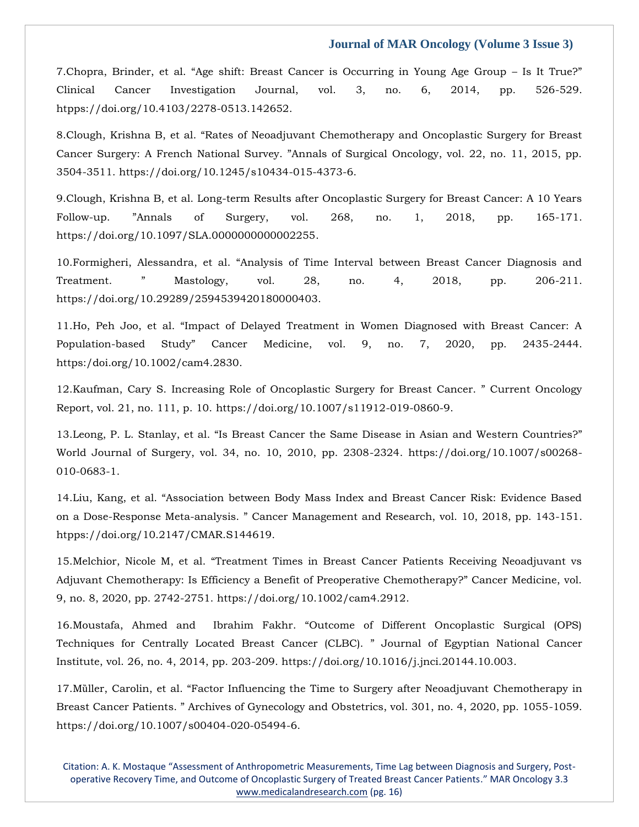7.[Chopra, Brinder, et al. "Age shift: Breast Cancer is Occurring in Young Age Group –](https://www.google.com/search?q=Age+shift%3A+Breast+Cancer+is+Occurring+in+Young+Age+Group+%E2%80%93+Is+It+True&sxsrf=APq-WBsBFZZBJJ8MISe4Zpf47zncc0kMtQ%3A1643262392602&ei=uDHyYeOWJLOZseMPmvutoAI&ved=0ahUKEwjj0ru5ndH1AhWzTGwGHZp9CyQQ4dUDCA4&uact=5&oq=Age+shift%3A+Breast+Cancer+is+Occurring+in+Young+Age+Group+%E2%80%93+Is+It+True&gs_lcp=Cgdnd3Mtd2l6EAMyBwgjEOoCECcyBwgjEOoCECcyBwgjEOoCECcyBwgjEOoCECcyBwgjEOoCECcyBwgjEOoCECcyBwgjEOoCECcyBwgjEOoCECcyBwgjEOoCECcyBwgjEOoCECdKBAhBGABKBAhGGABQhgNYhgNg8QRoAXACeACAAQCIAQCSAQCYAQCgAQGgAQKwAQrAAQE&sclient=gws-wiz) Is It True?" [Clinical Cancer Investigation Journal, vol. 3, no. 6, 2014, pp. 526-529.](https://www.google.com/search?q=Age+shift%3A+Breast+Cancer+is+Occurring+in+Young+Age+Group+%E2%80%93+Is+It+True&sxsrf=APq-WBsBFZZBJJ8MISe4Zpf47zncc0kMtQ%3A1643262392602&ei=uDHyYeOWJLOZseMPmvutoAI&ved=0ahUKEwjj0ru5ndH1AhWzTGwGHZp9CyQQ4dUDCA4&uact=5&oq=Age+shift%3A+Breast+Cancer+is+Occurring+in+Young+Age+Group+%E2%80%93+Is+It+True&gs_lcp=Cgdnd3Mtd2l6EAMyBwgjEOoCECcyBwgjEOoCECcyBwgjEOoCECcyBwgjEOoCECcyBwgjEOoCECcyBwgjEOoCECcyBwgjEOoCECcyBwgjEOoCECcyBwgjEOoCECcyBwgjEOoCECdKBAhBGABKBAhGGABQhgNYhgNg8QRoAXACeACAAQCIAQCSAQCYAQCgAQGgAQKwAQrAAQE&sclient=gws-wiz)  [htpps://doi.org/10.4103/2278-0513.142652.](https://www.google.com/search?q=Age+shift%3A+Breast+Cancer+is+Occurring+in+Young+Age+Group+%E2%80%93+Is+It+True&sxsrf=APq-WBsBFZZBJJ8MISe4Zpf47zncc0kMtQ%3A1643262392602&ei=uDHyYeOWJLOZseMPmvutoAI&ved=0ahUKEwjj0ru5ndH1AhWzTGwGHZp9CyQQ4dUDCA4&uact=5&oq=Age+shift%3A+Breast+Cancer+is+Occurring+in+Young+Age+Group+%E2%80%93+Is+It+True&gs_lcp=Cgdnd3Mtd2l6EAMyBwgjEOoCECcyBwgjEOoCECcyBwgjEOoCECcyBwgjEOoCECcyBwgjEOoCECcyBwgjEOoCECcyBwgjEOoCECcyBwgjEOoCECcyBwgjEOoCECcyBwgjEOoCECdKBAhBGABKBAhGGABQhgNYhgNg8QRoAXACeACAAQCIAQCSAQCYAQCgAQGgAQKwAQrAAQE&sclient=gws-wiz)

8.Clough, Krishna B, et al. "Rates of Neoadjuvant Chemotherapy and Oncoplastic Surgery for Breast Cancer Surgery: A French National Survey. "Annals of Surgical Oncology, vol. 22, no. 11, 2015, pp. 3504-3511. https://doi.org/10.1245/s10434-015-4373-6.

9.Clough, Krishna B, et al. Long-term Results after Oncoplastic Surgery for Breast Cancer: A 10 Years Follow-up. "Annals of Surgery, vol. 268, no. 1, 2018, pp. 165-171. [https://doi.org/10.1097/SLA.0000000000002255.](https://doi.org/10.1097/SLA.0000000000002255)

10.Formigheri, Alessandra, et al. "Analysis of Time Interval between Breast Cancer Diagnosis and Treatment. " Mastology, vol. 28, no. 4, 2018, pp. 206-211. [https://doi.org/10.29289/2594539420180000403.](https://doi.org/10.29289/2594539420180000403)

11.Ho, [Peh Joo, et al. "Impact of Delayed Treatment in Women Diagnosed with Breast Cancer: A](https://www.google.com/search?q=Impact+of+Delayed+Treatment+in+Women+Diagnosed+with+Breast+Cancer%3A+A+Population-based+Study&sxsrf=APq-WBtLkkbukgzdwDUTyPPT4gfQfekzqw%3A1643262444799&ei=7DHyYaarMP6gseMP7ead6Aw&ved=0ahUKEwim0a3SndH1AhV-UGwGHW1zB80Q4dUDCA4&uact=5&oq=Impact+of+Delayed+Treatment+in+Women+Diagnosed+with+Breast+Cancer%3A+A+Population-based+Study&gs_lcp=Cgdnd3Mtd2l6EAM6BwgjEOoCECdKBAhBGABKBAhGGABQ4gRY4gRg-wZoAXAAeACAAeEBiAHhAZIBAzItMZgBAKABAaABArABCsABAQ&sclient=gws-wiz)  Population-[based Study" Cancer Medicine, vol. 9, no. 7, 2020, pp. 2435](https://www.google.com/search?q=Impact+of+Delayed+Treatment+in+Women+Diagnosed+with+Breast+Cancer%3A+A+Population-based+Study&sxsrf=APq-WBtLkkbukgzdwDUTyPPT4gfQfekzqw%3A1643262444799&ei=7DHyYaarMP6gseMP7ead6Aw&ved=0ahUKEwim0a3SndH1AhV-UGwGHW1zB80Q4dUDCA4&uact=5&oq=Impact+of+Delayed+Treatment+in+Women+Diagnosed+with+Breast+Cancer%3A+A+Population-based+Study&gs_lcp=Cgdnd3Mtd2l6EAM6BwgjEOoCECdKBAhBGABKBAhGGABQ4gRY4gRg-wZoAXAAeACAAeEBiAHhAZIBAzItMZgBAKABAaABArABCsABAQ&sclient=gws-wiz)-2444. [https:/doi.org/10.1002/cam4.2830.](https://www.google.com/search?q=Impact+of+Delayed+Treatment+in+Women+Diagnosed+with+Breast+Cancer%3A+A+Population-based+Study&sxsrf=APq-WBtLkkbukgzdwDUTyPPT4gfQfekzqw%3A1643262444799&ei=7DHyYaarMP6gseMP7ead6Aw&ved=0ahUKEwim0a3SndH1AhV-UGwGHW1zB80Q4dUDCA4&uact=5&oq=Impact+of+Delayed+Treatment+in+Women+Diagnosed+with+Breast+Cancer%3A+A+Population-based+Study&gs_lcp=Cgdnd3Mtd2l6EAM6BwgjEOoCECdKBAhBGABKBAhGGABQ4gRY4gRg-wZoAXAAeACAAeEBiAHhAZIBAzItMZgBAKABAaABArABCsABAQ&sclient=gws-wiz)

12.Kaufman, Cary S. Increasing Role of Oncoplastic Surgery for Breast Cancer. " Current Oncology Report, vol. 21, no. 111, p. 10. [https://doi.org/10.1007/s11912-019-0860-9.](https://doi.org/10.1007/s11912-019-0860-9)

13.Leong, P. L. Stanlay, et al. "Is Breast Cancer the Same Disease in Asian and Western Countries?" World Journal of Surgery, vol. 34, no. 10, 2010, pp. 2308-2324. [https://doi.org/10.1007/s00268-](https://doi.org/10.1007/s00268-010-0683-1) [010-0683-1.](https://doi.org/10.1007/s00268-010-0683-1)

14.[Liu, Kang, et al. "Association between Body Mass Index and Breast Cancer Risk: Evidence Based](https://www.google.com/search?q=Association+between+Body+Mass+Index+and+Breast+Cancer+Risk%3A+Evidence+Based+on+a+Dose-Response+Meta-analysis.+&sxsrf=APq-WBukk9SL4Lo2ysCAIjXtoaM8iNIwCA%3A1643262465093&ei=ATLyYZmEBcWhseMPzNemsAY&ved=0ahUKEwjZiITcndH1AhXFUGwGHcyrCWYQ4dUDCA4&uact=5&oq=Association+between+Body+Mass+Index+and+Breast+Cancer+Risk%3A+Evidence+Based+on+a+Dose-Response+Meta-analysis.+&gs_lcp=Cgdnd3Mtd2l6EAMyBwgjEOoCECcyBwgjEOoCECcyBwgjEOoCECcyBwgjEOoCECcyBwgjEOoCECcyBwgjEOoCECcyBwgjEOoCECcyBwgjEOoCECcyBwgjEOoCECcyBwgjEOoCECdKBAhBGABKBAhGGABQoAVYoAVg6AdoAXACeACAAQCIAQCSAQCYAQCgAQGgAQKwAQrAAQE&sclient=gws-wiz)  on a Dose-Response Meta-[analysis. " Cancer Management and Research, vol. 10, 2018, pp. 143](https://www.google.com/search?q=Association+between+Body+Mass+Index+and+Breast+Cancer+Risk%3A+Evidence+Based+on+a+Dose-Response+Meta-analysis.+&sxsrf=APq-WBukk9SL4Lo2ysCAIjXtoaM8iNIwCA%3A1643262465093&ei=ATLyYZmEBcWhseMPzNemsAY&ved=0ahUKEwjZiITcndH1AhXFUGwGHcyrCWYQ4dUDCA4&uact=5&oq=Association+between+Body+Mass+Index+and+Breast+Cancer+Risk%3A+Evidence+Based+on+a+Dose-Response+Meta-analysis.+&gs_lcp=Cgdnd3Mtd2l6EAMyBwgjEOoCECcyBwgjEOoCECcyBwgjEOoCECcyBwgjEOoCECcyBwgjEOoCECcyBwgjEOoCECcyBwgjEOoCECcyBwgjEOoCECcyBwgjEOoCECcyBwgjEOoCECdKBAhBGABKBAhGGABQoAVYoAVg6AdoAXACeACAAQCIAQCSAQCYAQCgAQGgAQKwAQrAAQE&sclient=gws-wiz)-151. [htpps://doi.org/10.2147/CMAR.S144619.](https://www.google.com/search?q=Association+between+Body+Mass+Index+and+Breast+Cancer+Risk%3A+Evidence+Based+on+a+Dose-Response+Meta-analysis.+&sxsrf=APq-WBukk9SL4Lo2ysCAIjXtoaM8iNIwCA%3A1643262465093&ei=ATLyYZmEBcWhseMPzNemsAY&ved=0ahUKEwjZiITcndH1AhXFUGwGHcyrCWYQ4dUDCA4&uact=5&oq=Association+between+Body+Mass+Index+and+Breast+Cancer+Risk%3A+Evidence+Based+on+a+Dose-Response+Meta-analysis.+&gs_lcp=Cgdnd3Mtd2l6EAMyBwgjEOoCECcyBwgjEOoCECcyBwgjEOoCECcyBwgjEOoCECcyBwgjEOoCECcyBwgjEOoCECcyBwgjEOoCECcyBwgjEOoCECcyBwgjEOoCECcyBwgjEOoCECdKBAhBGABKBAhGGABQoAVYoAVg6AdoAXACeACAAQCIAQCSAQCYAQCgAQGgAQKwAQrAAQE&sclient=gws-wiz)

15.Melchior, Nicole M, et al. "Treatment Times in Breast Cancer Patients Receiving Neoadjuvant vs Adjuvant Chemotherapy: Is Efficiency a Benefit of Preoperative Chemotherapy?" Cancer Medicine, vol. 9, no. 8, 2020, pp. 2742-2751. https://doi.org[/10.1002/cam4.2912.](https://doi.org/10.1002/cam4.2912)

16.Moustafa, Ahmed and Ibrahim Fakhr. "Outcome of Different Oncoplastic Surgical (OPS) Techniques for Centrally Located Breast Cancer (CLBC). " Journal of Egyptian National Cancer Institute, vol. 26, no. 4, 2014, pp. 203-209. [https://doi.org/10.1016/j.jnci.20144.10.003.](https://doi.org/10.1016/j.jnci.20144.10.003)

17.Mȕller, Carolin, et al. "Factor Influencing the Time to Surgery after Neoadjuvant Chemotherapy in Breast Cancer Patients. " Archives of Gynecology and Obstetrics, vol. 301, no. 4, 2020, pp. 1055-1059. https://doi.org/10.1007/s00404-020-05494-6.

Citation: A. K. Mostaque "Assessment of Anthropometric Measurements, Time Lag between Diagnosis and Surgery, Postoperative Recovery Time, and Outcome of Oncoplastic Surgery of Treated Breast Cancer Patients." MAR Oncology 3.3 [www.medicalandresearch.com](http://www.medicalandresearch.com/) (pg. 16)